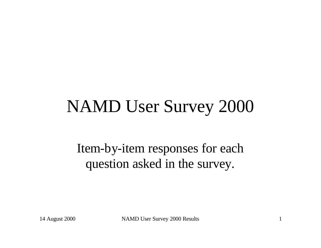# NAMD User Survey 2000

Item-by-item responses for each question asked in the survey.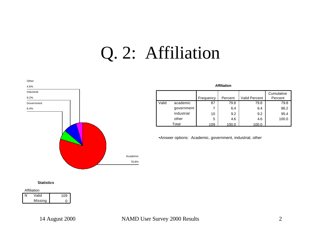## Q. 2: Affiliation



#### **Affiliation**

|       |            |           |         |                      | Cumulative |
|-------|------------|-----------|---------|----------------------|------------|
|       |            | Frequency | Percent | <b>Valid Percent</b> | Percent    |
| Valid | academic   | 87        | 79.8    | 79.8                 | 79.8       |
|       | government |           | 6.4     | 6.4                  | 86.2       |
|       | industrial | 10        | 9.2     | 9.2                  | 95.4       |
|       | other      | 5         | 4.6     | 4.6                  | 100.0      |
|       | Total      | 109       | 100.0   | 100.0                |            |

•Answer options: Academic, government, industrial, other

#### **Statistics**

| Valid |         | 109 |
|-------|---------|-----|
|       | Missina |     |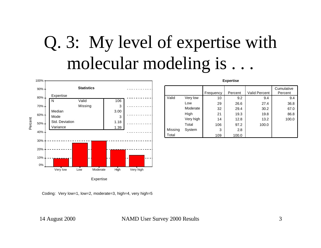# Q. 3: My level of expertise with molecular modeling is . . .

Valid

Total

Very low Low Moderate High Very high **Total** 

Missing System



Coding: Very low=1, low=2, moderate=3, high=4, very high=5

14 August 2000 NAMD User Survey 2000 Results 3

**Expertise**

Frequency Percent Valid Percent

3 2.8 109 100.0

10 9.2 9.4 9.4 29 26.6 27.4 36.8 32 29.4 30.2 67.0 21 19.3 19.8 86.8 14 12.8 13.2 100.0

106 97.2 100.0

**Cumulative** Percent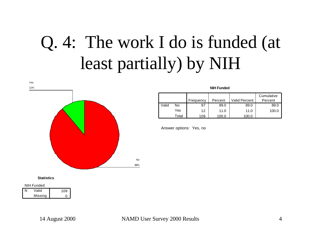# Q. 4: The work I do is funded (at least partially) by NIH



#### **NIH Funded**

|       |       | Frequency | Percent | <b>Valid Percent</b> | Cumulative<br>Percent |
|-------|-------|-----------|---------|----------------------|-----------------------|
| Valid | No    | 97        | 89.0    | 89.0                 | 89.0                  |
|       | Yes   | 12        | 11.0    | 11.0                 | 100.0                 |
|       | Total | 109       | 100.0   | 100.0                |                       |

Answer options: Yes, no

#### **Statistics**

| NIH Funded |
|------------|
|------------|

| Valid   | 109 |
|---------|-----|
| Missing |     |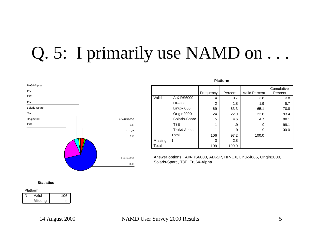# Q. 5: I primarily use NAMD on ...



|         |                  |           |         |                      | Cumulative |
|---------|------------------|-----------|---------|----------------------|------------|
|         |                  | Frequency | Percent | <b>Valid Percent</b> | Percent    |
| Valid   | AIX-RS6000       | 4         | 3.7     | 3.8                  | 3.8        |
|         | HP-UX            | 2         | 1.8     | 1.9                  | 5.7        |
|         | Linux-i686       | 69        | 63.3    | 65.1                 | 70.8       |
|         | Origin2000       | 24        | 22.0    | 22.6                 | 93.4       |
|         | Solaris-Sparc    | 5         | 4.6     | 4.7                  | 98.1       |
|         | T <sub>3</sub> E | 1         | .9      | .9                   | 99.1       |
|         | Tru64-Alpha      | 1         | .9      | .9                   | 100.0      |
|         | Total            | 106       | 97.2    | 100.0                |            |
| Missing |                  | 3         | 2.8     |                      |            |
| Total   |                  | 109       | 100.0   |                      |            |

**Platform**

Answer options: AIX-RS6000, AIX-SP, HP-UX, Linux-i686, Origin2000, Solaris-Sparc, T3E, Tru64-Alpha

**Statistics**

| Platform |         |     |  |  |
|----------|---------|-----|--|--|
|          | Valid   | 106 |  |  |
|          | Missing |     |  |  |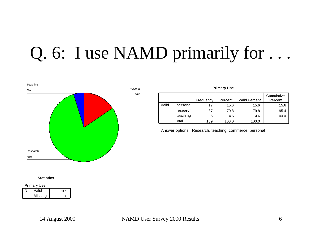# Q. 6: I use NAMD primarily for . . .



|       | <b>Primary Use</b> |           |         |               |                       |  |  |
|-------|--------------------|-----------|---------|---------------|-----------------------|--|--|
|       |                    | Frequency | Percent | Valid Percent | Cumulative<br>Percent |  |  |
| Valid | personal           | 17        | 15.6    | 15.6          | 15.6                  |  |  |
|       | research           | 87        | 79.8    | 79.8          | 95.4                  |  |  |
|       | teaching           | 5         | 4.6     | 4.6           | 100.0                 |  |  |
|       | Total              | 109       | 100.0   | 100.0         |                       |  |  |

Answer options: Research, teaching, commerce, personal

#### **Statistics**

| <b>Primary Use</b> |  |
|--------------------|--|
| $11 - 11 - 1$      |  |

| NI | Valid   | 109 |
|----|---------|-----|
|    | Missing |     |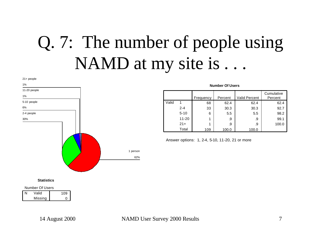# Q. 7: The number of people using NAMD at my site is...



#### **Number Of Users**

|       |           | Frequency | Percent | <b>Valid Percent</b> | Cumulative<br>Percent |
|-------|-----------|-----------|---------|----------------------|-----------------------|
| Valid |           | 68        | 62.4    | 62.4                 | 62.4                  |
|       | 2-4       | 33        | 30.3    | 30.3                 | 92.7                  |
|       | $5 - 10$  | 6         | 5.5     | 5.5                  | 98.2                  |
|       | $11 - 20$ |           | .9      | .9                   | 99.1                  |
|       | $21+$     |           | .9      | .9                   | 100.0                 |
|       | Total     | 109       | 100.0   | 100.0                |                       |

Answer options: 1, 2-4, 5-10, 11-20, 21 or more

**Statistics**

Number Of Users

| Valid   | 109 |
|---------|-----|
| Missina |     |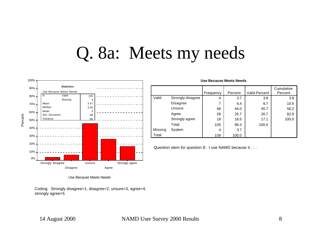### Q. 8a: Meets my needs



|         |                   | Frequency | Percent | Valid Percent | Cumulative<br>Percent |
|---------|-------------------|-----------|---------|---------------|-----------------------|
| Valid   | Strongly disagree | 4         | 3.7     | 3.8           | 3.8                   |
|         | <b>Disagree</b>   | 7         | 6.4     | 6.7           | 10.5                  |
|         | Unsure            | 48        | 44.0    | 45.7          | 56.2                  |
|         | Agree             | 28        | 25.7    | 26.7          | 82.9                  |
|         | Strongly agree    | 18        | 16.5    | 17.1          | 100.0                 |
|         | Total             | 105       | 96.3    | 100.0         |                       |
| Missing | System            | 4         | 3.7     |               |                       |
| Total   |                   | 109       | 100.0   |               |                       |

**Use Because Meets Needs**

Question stem for question 8: I use NAMD because it . . .

Use Because Meets Needs

Coding: Strongly disagree=1, disagree=2, unsure=3, agree=4, strongly agree=5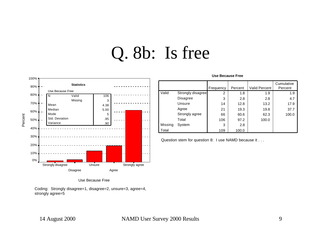## Q. 8b: Is free



#### Use Because Free

Coding: Strongly disagree=1, disagree=2, unsure=3, agree=4, strongly agree=5

|         |                   | Frequency | Percent | <b>Valid Percent</b> | Cumulative<br>Percent |
|---------|-------------------|-----------|---------|----------------------|-----------------------|
| Valid   | Strongly disagree | 2         | 1.8     | 1.9                  | 1.9                   |
|         | Disagree          | 3         | 2.8     | 2.8                  | 4.7                   |
|         | Unsure            | 14        | 12.8    | 13.2                 | 17.9                  |
|         | Agree             | 21        | 19.3    | 19.8                 | 37.7                  |
|         | Strongly agree    | 66        | 60.6    | 62.3                 | 100.0                 |
|         | Total             | 106       | 97.2    | 100.0                |                       |
| Missing | System            | 3         | 2.8     |                      |                       |
| Total   |                   | 109       | 100.0   |                      |                       |

**Use Because Free**

Question stem for question 8: I use NAMD because it . . .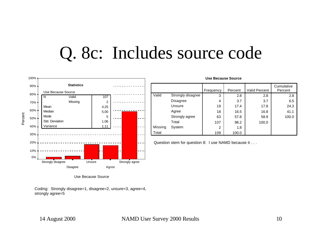### Q. 8c: Includes source code



|         |                   |           | ----------------- |                      |            |
|---------|-------------------|-----------|-------------------|----------------------|------------|
|         |                   |           |                   |                      | Cumulative |
|         |                   | Frequency | Percent           | <b>Valid Percent</b> | Percent    |
| Valid   | Strongly disagree | 3         | 2.8               | 2.8                  | 2.8        |
|         | Disagree          | 4         | 3.7               | 3.7                  | 6.5        |
|         | Unsure            | 19        | 17.4              | 17.8                 | 24.3       |
|         | Agree             | 18        | 16.5              | 16.8                 | 41.1       |
|         | Strongly agree    | 63        | 57.8              | 58.9                 | 100.0      |
|         | Total             | 107       | 98.2              | 100.0                |            |
| Missing | System            | 2         | 1.8               |                      |            |
| Total   |                   | 109       | 100.0             |                      |            |

**Use Because Source**

Question stem for question 8: I use NAMD because it . . .

Use Because Source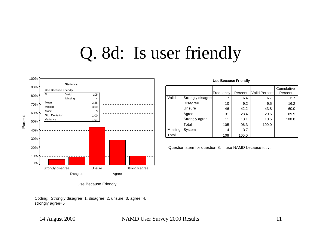### Q. 8d: Is user friendly



Use Because Friendly

Coding: Strongly disagree=1, disagree=2, unsure=3, agree=4, strongly agree=5

#### 14 August 2000 NAMD User Survey 2000 Results 11

|         |                   | Frequency | Percent | Valid Percent | Cumulative<br>Percent |
|---------|-------------------|-----------|---------|---------------|-----------------------|
| Valid   | Strongly disagree | 7         | 6.4     | 6.7           | 6.7                   |
|         | <b>Disagree</b>   | 10        | 9.2     | 9.5           | 16.2                  |
|         | Unsure            | 46        | 42.2    | 43.8          | 60.0                  |
|         | Agree             | 31        | 28.4    | 29.5          | 89.5                  |
|         | Strongly agree    | 11        | 10.1    | 10.5          | 100.0                 |
|         | Total             | 105       | 96.3    | 100.0         |                       |
| Missing | System            | 4         | 3.7     |               |                       |
| Total   |                   | 109       | 100.0   |               |                       |

Question stem for question 8: I use NAMD because it . . .

**Use Because Friendly**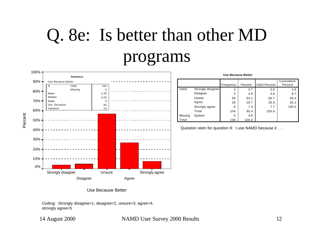# Q. 8e: Is better than other MD programs



**Use Because Better**

|         |                   |           |         |                      | Cumulative |
|---------|-------------------|-----------|---------|----------------------|------------|
|         |                   | Frequency | Percent | <b>Valid Percent</b> | Percent    |
| Valid   | Strongly disagree | 4         | 3.7     | 3.8                  | 3.8        |
|         | Disagree          | 5         | 4.6     | 4.8                  | 8.7        |
|         | Unsure            | 59        | 54.1    | 56.7                 | 65.4       |
|         | Agree             | 28        | 25.7    | 26.9                 | 92.3       |
|         | Strongly agree    | 8         | 7.3     | 7.7                  | 100.0      |
|         | Total             | 104       | 95.4    | 100.0                |            |
| Missing | System            | 5         | 4.6     |                      |            |
| Total   |                   | 109       | 100.0   |                      |            |

Question stem for question 8: I use NAMD because it . . .

Use Because Better

Coding: Strongly disagree=1, disagree=2, unsure=3, agree=4, strongly agree=5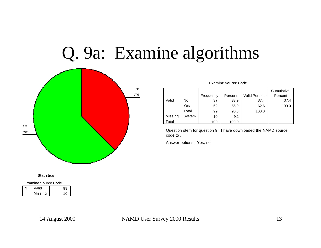## Q. 9a: Examine algorithms



#### **Statistics**

| <b>Examine Source Code</b> |       |    |  |  |
|----------------------------|-------|----|--|--|
| N                          | Valid | 99 |  |  |
| Missing<br>10              |       |    |  |  |

|         |        |           |         |               | Cumulative |
|---------|--------|-----------|---------|---------------|------------|
|         |        | Frequency | Percent | Valid Percent | Percent    |
| Valid   | No     | 37        | 33.9    | 37.4          | 37.4       |
|         | Yes    | 62        | 56.9    | 62.6          | 100.0      |
|         | Total  | 99        | 90.8    | 100.0         |            |
| Missing | System | 10        | 9.2     |               |            |
| Total   |        | 109       | 100.0   |               |            |

Question stem for question 9: I have downloaded the NAMD source code to . . .

Answer options: Yes, no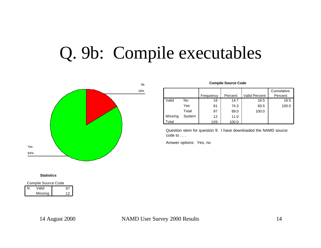# Q. 9b: Compile executables



#### **Statistics**

| Compile Source Code |  |  |  |  |
|---------------------|--|--|--|--|
| N<br>Valid<br>97    |  |  |  |  |
| Missing<br>12       |  |  |  |  |

#### **Compile Source Code**

|         |        |           |         |                      | Cumulative |
|---------|--------|-----------|---------|----------------------|------------|
|         |        | Frequency | Percent | <b>Valid Percent</b> | Percent    |
| Valid   | No     | 16        | 14.7    | 16.5                 | 16.5       |
|         | Yes    | 81        | 74.3    | 83.5                 | 100.0      |
|         | Total  | 97        | 89.0    | 100.0                |            |
| Missing | System | 12        | 11.0    |                      |            |
| Total   |        | 109       | 100.0   |                      |            |

Question stem for question 9: I have downloaded the NAMD source code to . . .

Answer options: Yes, no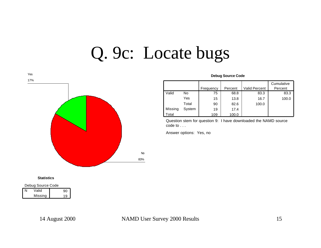### Q. 9c: Locate bugs



#### **Debug Source Code**

|         |        |           |         |               | Cumulative |
|---------|--------|-----------|---------|---------------|------------|
|         |        | Frequency | Percent | Valid Percent | Percent    |
| Valid   | No     | 75        | 68.8    | 83.3          | 83.3       |
|         | Yes    | 15        | 13.8    | 16.7          | 100.0      |
|         | Total  | 90        | 82.6    | 100.0         |            |
| Missing | System | 19        | 17.4    |               |            |
| Total   |        | 109       | 100.0   |               |            |

Question stem for question 9: I have downloaded the NAMD source code to . . .

Answer options: Yes, no

#### **Statistics**

Debug Source Code

| Valid   |     |
|---------|-----|
| Missing | . o |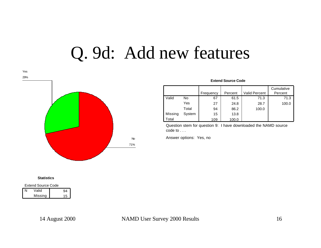### Q. 9d: Add new features



#### **Extend Source Code**

|         |        | Frequency | Percent | <b>Valid Percent</b> | Cumulative<br>Percent |
|---------|--------|-----------|---------|----------------------|-----------------------|
| Valid   | No     | 67        | 61.5    | 71.3                 | 71.3                  |
|         | Yes    | 27        | 24.8    | 28.7                 | 100.0                 |
|         | Total  | 94        | 86.2    | 100.0                |                       |
| Missing | System | 15        | 13.8    |                      |                       |
| Total   |        | 109       | 100.0   |                      |                       |

Question stem for question 9: I have downloaded the NAMD source code to . . .

Answer options: Yes, no

#### **Statistics**

Extend Source Code

| Valid   |     |
|---------|-----|
| Missing | ת ו |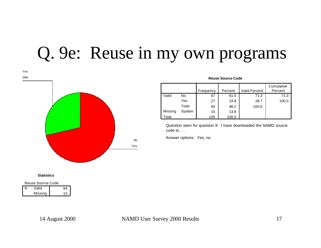## Q. 9e: Reuse in my own programs



#### **Reuse Source Code**

|         |        |           |         |                      | Cumulative |
|---------|--------|-----------|---------|----------------------|------------|
|         |        | Frequency | Percent | <b>Valid Percent</b> | Percent    |
| Valid   | No     | 67        | 61.5    | 71.3                 | 71.3       |
|         | Yes    | 27        | 24.8    | 28.7                 | 100.0      |
|         | Total  | 94        | 86.2    | 100.0                |            |
| Missing | System | 15        | 13.8    |                      |            |
| Total   |        | 109       | 100.0   |                      |            |

Question stem for question 9: I have downloaded the NAMD source code to . . .

Answer options: Yes, no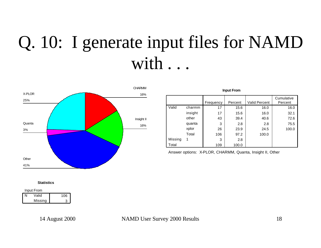# Q. 10: I generate input files for NAMD with . . .



|         |         | Frequency | Percent | <b>Valid Percent</b> | Cumulative<br>Percent |
|---------|---------|-----------|---------|----------------------|-----------------------|
| Valid   | charmm  | 17        | 15.6    | 16.0                 | 16.0                  |
|         | insight | 17        | 15.6    | 16.0                 | 32.1                  |
|         | other   | 43        | 39.4    | 40.6                 | 72.6                  |
|         | quanta  | 3         | 2.8     | 2.8                  | 75.5                  |
|         | xplor   | 26        | 23.9    | 24.5                 | 100.0                 |
|         | Total   | 106       | 97.2    | 100.0                |                       |
| Missing | 1       | 3         | 2.8     |                      |                       |
| Total   |         | 109       | 100.0   |                      |                       |

**Input From**

Answer options: X-PLOR, CHARMM, Quanta, Insight II, Other

#### **Statistics**

| Input From |         |     |  |
|------------|---------|-----|--|
|            | Valid   | 106 |  |
|            | Missing |     |  |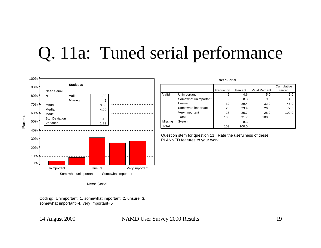### Q. 11a: Tuned serial performance





Coding: Unimportant=1, somewhat important=2, unsure=3, somewhat important=4, very important=5

### 14 August 2000 NAMD User Survey 2000 Results 19

|         |                      | <b>Need Serial</b> |         |                      |            |
|---------|----------------------|--------------------|---------|----------------------|------------|
|         |                      |                    |         |                      | Cumulative |
|         |                      | Frequency          | Percent | <b>Valid Percent</b> | Percent    |
| Valid   | Unimportant          | 5                  | 4.6     | 5.0                  | 5.0        |
|         | Somewhat unimportant | 9                  | 8.3     | 9.0                  | 14.0       |
|         | Unsure               | 32                 | 29.4    | 32.0                 | 46.0       |
|         | Somewhat important   | 26                 | 23.9    | 26.0                 | 72.0       |
|         | Very important       | 28                 | 25.7    | 28.0                 | 100.0      |
|         | Total                | 100                | 91.7    | 100.0                |            |
| Missing | System               | 9                  | 8.3     |                      |            |
| Total   |                      | 109                | 100.0   |                      |            |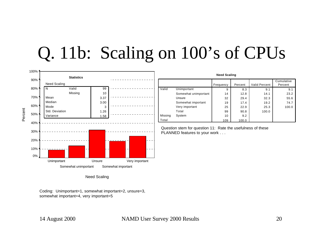## Q. 11b: Scaling on 100's of CPUs



Need Scaling

Coding: Unimportant=1, somewhat important=2, unsure=3, somewhat important=4, very important=5

| 14 August 2000 |  |  |  |
|----------------|--|--|--|
|----------------|--|--|--|

14 NAMD User Survey 2000 Results 20

| <b>Need Scaling</b> |  |
|---------------------|--|
|                     |  |

|         |                      | Frequency | Percent | <b>Valid Percent</b> | Cumulative<br>Percent |
|---------|----------------------|-----------|---------|----------------------|-----------------------|
| Valid   | Unimportant          | 9         | 8.3     | 9.1                  | 9.1                   |
|         | Somewhat unimportant | 14        | 12.8    | 14.1                 | 23.2                  |
|         | Unsure               | 32        | 29.4    | 32.3                 | 55.6                  |
|         | Somewhat important   | 19        | 17.4    | 19.2                 | 74.7                  |
|         | Very important       | 25        | 22.9    | 25.3                 | 100.0                 |
|         | Total                | 99        | 90.8    | 100.0                |                       |
| Missing | System               | 10        | 9.2     |                      |                       |
| Total   |                      | 109       | 100.0   |                      |                       |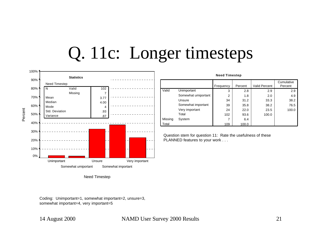## Q. 11c: Longer timesteps



|         |                     | .         |         |                      |                       |
|---------|---------------------|-----------|---------|----------------------|-----------------------|
|         |                     | Frequency | Percent | <b>Valid Percent</b> | Cumulative<br>Percent |
| Valid   | Unimportant         | 3         | 2.8     | 2.9                  | 2.9                   |
|         | Somewhat umiportant | 2         | 1.8     | 2.0                  | 4.9                   |
|         | Unsure              | 34        | 31.2    | 33.3                 | 38.2                  |
|         | Somewhat important  | 39        | 35.8    | 38.2                 | 76.5                  |
|         | Very important      | 24        | 22.0    | 23.5                 | 100.0                 |
|         | Total               | 102       | 93.6    | 100.0                |                       |
| Missing | System              |           | 6.4     |                      |                       |
| Total   |                     | 109       | 100.0   |                      |                       |

**Need Timestep**

Question stem for question 11: Rate the usefulness of these PLANNED features to your work . . .

Need Timestep

Coding: Unimportant=1, somewhat important=2, unsure=3, somewhat important=4, very important=5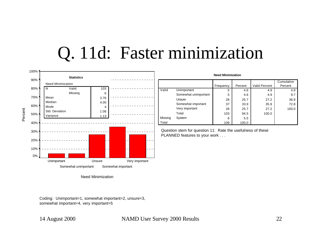### Q. 11d: Faster minimization



Need Minimization

Coding: Unimportant=1, somewhat important=2, unsure=3, somewhat important=4, very important=5

#### 14 August 2000 NAMD User Survey 2000 Results 22

|         |                      | <b>Need Minimization</b> |         |                      |            |
|---------|----------------------|--------------------------|---------|----------------------|------------|
|         |                      |                          |         |                      | Cumulative |
|         |                      | Frequency                | Percent | <b>Valid Percent</b> | Percent    |
| Valid   | Unimportant          | 5                        | 4.6     | 4.9                  | 4.9        |
|         | Somewhat unimportant | 5                        | 4.6     | 4.9                  | 9.7        |
|         | Unsure               | 28                       | 25.7    | 27.2                 | 36.9       |
|         | Somewhat important   | 37                       | 33.9    | 35.9                 | 72.8       |
|         | Very important       | 28                       | 25.7    | 27.2                 | 100.0      |
|         | Total                | 103                      | 94.5    | 100.0                |            |
| Missing | System               | 6                        | 5.5     |                      |            |
| Total   |                      | 109                      | 100.0   |                      |            |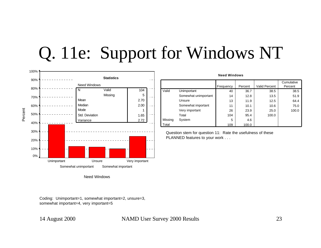## Q. 11e: Support for Windows NT



Need Windows

Coding: Unimportant=1, somewhat important=2, unsure=3, somewhat important=4, very important=5

#### 14 August 2000 NAMD User Survey 2000 Results 23

| Need Windows |                      |           |         |                      |                       |  |  |
|--------------|----------------------|-----------|---------|----------------------|-----------------------|--|--|
|              |                      | Frequency | Percent | <b>Valid Percent</b> | Cumulative<br>Percent |  |  |
| Valid        | Unimportant          | 40        | 36.7    | 38.5                 | 38.5                  |  |  |
|              | Somewhat unimportant | 14        | 12.8    | 13.5                 | 51.9                  |  |  |
|              | Unsure               | 13        | 11.9    | 12.5                 | 64.4                  |  |  |
|              | Somewhat important   | 11        | 10.1    | 10.6                 | 75.0                  |  |  |
|              | Very important       | 26        | 23.9    | 25.0                 | 100.0                 |  |  |
|              | Total                | 104       | 95.4    | 100.0                |                       |  |  |
| Missing      | System               | 5         | 4.6     |                      |                       |  |  |
| Total        |                      | 109       | 100.0   |                      |                       |  |  |

**Need Windows**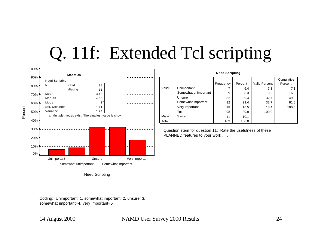## Q. 11f: Extended Tcl scripting



Need Scripting

Coding: Unimportant=1, somewhat important=2, unsure=3, somewhat important=4, very important=5

### 14 August 2000 NAMD User Survey 2000 Results 24

**Need Scripting**

|         |                      | Frequency | Percent | <b>Valid Percent</b> | Percent |  |
|---------|----------------------|-----------|---------|----------------------|---------|--|
| Valid   | Unimportant          | 7         | 6.4     | 7.1                  | 7.1     |  |
|         | Somewhat unimportant | 9         | 8.3     | 9.2                  | 16.3    |  |
|         | Unsure               | 32        | 29.4    | 32.7                 | 49.0    |  |
|         | Somewhat important   | 32        | 29.4    | 32.7                 | 81.6    |  |
|         | Very important       | 18        | 16.5    | 18.4                 | 100.0   |  |
|         | Total                | 98        | 89.9    | 100.0                |         |  |
| Missing | System               | 11        | 10.1    |                      |         |  |
| Total   |                      | 109       | 100.0   |                      |         |  |

Question stem for question 11: Rate the usefulness of these PLANNED features to your work . . .

**Cumulative**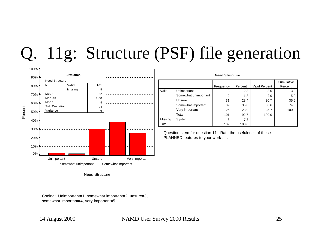## Q. 11g: Structure (PSF) file generation



| <b>Need Structure</b> |                      |           |         |                      |            |  |  |
|-----------------------|----------------------|-----------|---------|----------------------|------------|--|--|
|                       |                      |           |         |                      | Cumulative |  |  |
|                       |                      | Frequency | Percent | <b>Valid Percent</b> | Percent    |  |  |
| Valid                 | Unimportant          | 3         | 2.8     | 3.0                  | 3.0        |  |  |
|                       | Somewhat unimportant | 2         | 1.8     | 2.0                  | 5.0        |  |  |
|                       | Unsure               | 31        | 28.4    | 30.7                 | 35.6       |  |  |
|                       | Somewhat important   | 39        | 35.8    | 38.6                 | 74.3       |  |  |
|                       | Very important       | 26        | 23.9    | 25.7                 | 100.0      |  |  |
|                       | Total                | 101       | 92.7    | 100.0                |            |  |  |
| Missing               | System               | 8         | 7.3     |                      |            |  |  |
| Total                 |                      | 109       | 100.0   |                      |            |  |  |

Question stem for question 11: Rate the usefulness of these PLANNED features to your work . . .

Need Structure

Coding: Unimportant=1, somewhat important=2, unsure=3, somewhat important=4, very important=5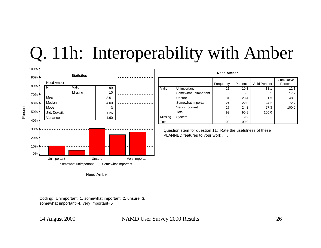### Q. 11h: Interoperability with Amber



**Need Amber** 11 | 10.1 | 11.1 | 11.1 6 5.5 6.1 17.2 31 28.4 31.3 48.5 24 22.0 24.2 72.7 27 24.8 27.3 100.0 99 90.8 100.0 10 9.2 109 100.0 **Unimportant** Somewhat unimportant Unsure Somewhat important Very important Total Valid Missing System Total Frequency Percent Valid Percent **Cumulative** Percent

Question stem for question 11: Rate the usefulness of these PLANNED features to your work . . .

Need Amber

Coding: Unimportant=1, somewhat important=2, unsure=3, somewhat important=4, very important=5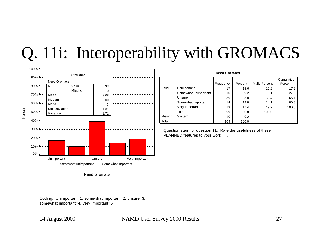### Q. 11i: Interoperability with GROMACS



Need Gromacs

Coding: Unimportant=1, somewhat important=2, unsure=3, somewhat important=4, very important=5

### 14 August 2000 NAMD User Survey 2000 Results 27

|         | <b>Need Gromacs</b>  |           |         |                      |                       |  |  |  |
|---------|----------------------|-----------|---------|----------------------|-----------------------|--|--|--|
|         |                      | Frequency | Percent | <b>Valid Percent</b> | Cumulative<br>Percent |  |  |  |
| Valid   | Unimportant          | 17        | 15.6    | 17.2                 | 17.2                  |  |  |  |
|         | Somewhat unimportant | 10        | 9.2     | 10.1                 | 27.3                  |  |  |  |
|         | Unsure               | 39        | 35.8    | 39.4                 | 66.7                  |  |  |  |
|         | Somewhat important   | 14        | 12.8    | 14.1                 | 80.8                  |  |  |  |
|         | Very important       | 19        | 17.4    | 19.2                 | 100.0                 |  |  |  |
|         | Total                | 99        | 90.8    | 100.0                |                       |  |  |  |
| Missing | System               | 10        | 9.2     |                      |                       |  |  |  |
| Total   |                      | 109       | 100.0   |                      |                       |  |  |  |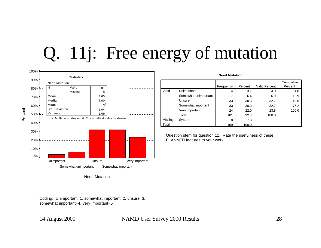## Q. 11j: Free energy of mutation



Coding: Unimportant=1, somewhat important=2, unsure=3, somewhat important=4, very important=5

#### 14 August 2000 NAMD User Survey 2000 Results 28

|         | <b>Need Mutation</b> |           |         |                      |                       |  |  |  |
|---------|----------------------|-----------|---------|----------------------|-----------------------|--|--|--|
|         |                      | Frequency | Percent | <b>Valid Percent</b> | Cumulative<br>Percent |  |  |  |
| Valid   | Unimportant          | 4         | 3.7     | 4.0                  | 4.0                   |  |  |  |
|         | Somewhat unimportant | 7         | 6.4     | 6.9                  | 10.9                  |  |  |  |
|         | Unsure               | 33        | 30.3    | 32.7                 | 43.6                  |  |  |  |
|         | Somewhat important   | 33        | 30.3    | 32.7                 | 76.2                  |  |  |  |
|         | Very important       | 24        | 22.0    | 23.8                 | 100.0                 |  |  |  |
|         | Total                | 101       | 92.7    | 100.0                |                       |  |  |  |
| Missing | System               | 8         | 7.3     |                      |                       |  |  |  |
| Total   |                      | 109       | 100.0   |                      |                       |  |  |  |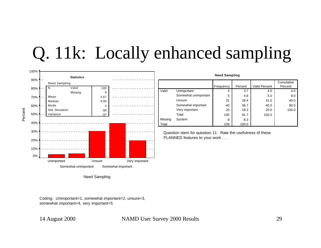# Q. 11k: Locally enhanced sampling



Need Sampling

Coding: Unimportant=1, somewhat important=2, unsure=3, somewhat important=4, very important=5

14 August 2000 NAMD User Survey 2000 Results 29

**Need Sampling**

|         |                      | Frequency | Percent | <b>Valid Percent</b> | Cumulative<br>Percent |
|---------|----------------------|-----------|---------|----------------------|-----------------------|
| Valid   | Unimportant          | 4         | 3.7     | 4.0                  | 4.0                   |
|         | Somewhat unimportant | 5         | 4.6     | 5.0                  | 9.0                   |
|         | Unsure               | 31        | 28.4    | 31.0                 | 40.0                  |
|         | Somewhat important   | 40        | 36.7    | 40.0                 | 80.0                  |
|         | Very important       | 20        | 18.3    | 20.0                 | 100.0                 |
|         | Total                | 100       | 91.7    | 100.0                |                       |
| Missing | System               | 9         | 8.3     |                      |                       |
| Total   |                      | 109       | 100.0   |                      |                       |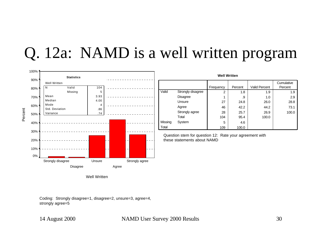### Q. 12a: NAMD is a well written program



| <b>Well Written</b> |                   |           |         |                      |                       |  |  |  |
|---------------------|-------------------|-----------|---------|----------------------|-----------------------|--|--|--|
|                     |                   | Frequency | Percent | <b>Valid Percent</b> | Cumulative<br>Percent |  |  |  |
| Valid               | Strongly disagree | 2         | 1.8     | 1.9                  | 1.9                   |  |  |  |
|                     | <b>Disagree</b>   | 1         | .9      | 1.0                  | 2.9                   |  |  |  |
|                     | Unsure            | 27        | 24.8    | 26.0                 | 28.8                  |  |  |  |
|                     | Agree             | 46        | 42.2    | 44.2                 | 73.1                  |  |  |  |
|                     | Strongly agree    | 28        | 25.7    | 26.9                 | 100.0                 |  |  |  |
|                     | Total             | 104       | 95.4    | 100.0                |                       |  |  |  |
| Missing             | System            | 5         | 4.6     |                      |                       |  |  |  |
| Total               |                   | 109       | 100.0   |                      |                       |  |  |  |

Question stem for question 12: Rate your agreement with these statements about NAMD

Well Written

Coding: Strongly disagree=1, disagree=2, unsure=3, agree=4, strongly agree=5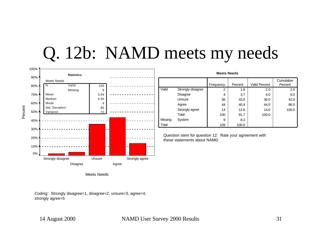## Q. 12b: NAMD meets my needs



| <b>Meets Needs</b> |                   |           |         |                      |            |  |  |
|--------------------|-------------------|-----------|---------|----------------------|------------|--|--|
|                    |                   |           |         |                      | Cumulative |  |  |
|                    |                   | Frequency | Percent | <b>Valid Percent</b> | Percent    |  |  |
| Valid              | Strongly disagree | 2         | 1.8     | 2.0                  | 2.0        |  |  |
|                    | <b>Disagree</b>   | 4         | 3.7     | 4.0                  | 6.0        |  |  |
|                    | Unsure            | 36        | 33.0    | 36.0                 | 42.0       |  |  |
|                    | Agree             | 44        | 40.4    | 44.0                 | 86.0       |  |  |
|                    | Strongly agree    | 14        | 12.8    | 14.0                 | 100.0      |  |  |
|                    | Total             | 100       | 91.7    | 100.0                |            |  |  |
| Missing            | System            | 9         | 8.3     |                      |            |  |  |
| Total              |                   | 109       | 100.0   |                      |            |  |  |

Question stem for question 12: Rate your agreement with these statements about NAMD

Meets Needs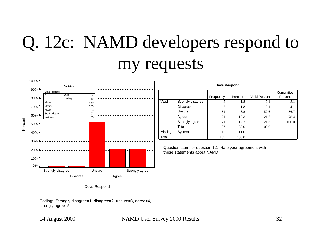# Q. 12c: NAMD developers respond to my requests



Devs Respond

Coding: Strongly disagree=1, disagree=2, unsure=3, agree=4, strongly agree=5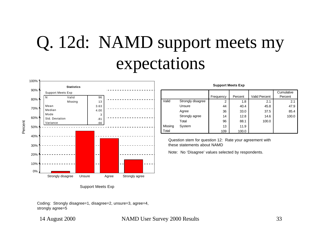# Q. 12d: NAMD support meets my expectations



Support Meets Exp

Coding: Strongly disagree=1, disagree=2, unsure=3, agree=4, strongly agree=5

#### 14 August 2000 NAMD User Survey 2000 Results 33

| <b>Support Meets Exp</b> |                   |           |         |                      |                       |  |  |
|--------------------------|-------------------|-----------|---------|----------------------|-----------------------|--|--|
|                          |                   | Frequency | Percent | <b>Valid Percent</b> | Cumulative<br>Percent |  |  |
| Valid                    | Strongly disagree |           |         |                      |                       |  |  |
|                          |                   | 2         | 1.8     | 2.1                  | 2.1                   |  |  |
|                          | Unsure            | 44        | 40.4    | 45.8                 | 47.9                  |  |  |
|                          | Agree             | 36        | 33.0    | 37.5                 | 85.4                  |  |  |
|                          | Strongly agree    | 14        | 12.8    | 14.6                 | 100.0                 |  |  |
|                          | Total             | 96        | 88.1    | 100.0                |                       |  |  |
| Missing                  | System            | 13        | 11.9    |                      |                       |  |  |
| Total                    |                   | 109       | 100.0   |                      |                       |  |  |

Question stem for question 12: Rate your agreement with these statements about NAMD

Note: No 'Disagree' values selected by respondents.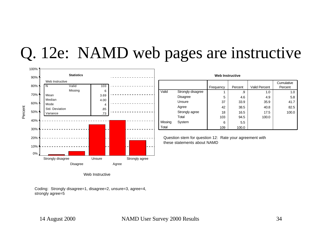### Q. 12e: NAMD web pages are instructive



| <b>Web Instructive</b> |                   |           |         |                      |                       |  |  |  |
|------------------------|-------------------|-----------|---------|----------------------|-----------------------|--|--|--|
|                        |                   | Frequency | Percent | <b>Valid Percent</b> | Cumulative<br>Percent |  |  |  |
| Valid                  | Strongly disagree |           | .9      | 1.0                  | 1.0                   |  |  |  |
|                        | <b>Disagree</b>   | 5         | 4.6     | 4.9                  | 5.8                   |  |  |  |
|                        | Unsure            | 37        | 33.9    | 35.9                 | 41.7                  |  |  |  |
|                        | Agree             | 42        | 38.5    | 40.8                 | 82.5                  |  |  |  |
|                        | Strongly agree    | 18        | 16.5    | 17.5                 | 100.0                 |  |  |  |
|                        | Total             | 103       | 94.5    | 100.0                |                       |  |  |  |
| Missing                | System            | 6         | 5.5     |                      |                       |  |  |  |
| Total                  |                   | 109       | 100.0   |                      |                       |  |  |  |

Question stem for question 12: Rate your agreement with these statements about NAMD

Web Instructive

Coding: Strongly disagree=1, disagree=2, unsure=3, agree=4, strongly agree=5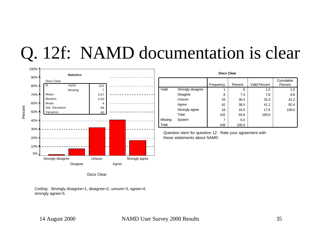# Q. 12f: NAMD documentation is clear



| Docs Clear |                   |           |         |                      |                       |  |  |  |
|------------|-------------------|-----------|---------|----------------------|-----------------------|--|--|--|
|            |                   | Frequency | Percent | <b>Valid Percent</b> | Cumulative<br>Percent |  |  |  |
| Valid      | Strongly disagree |           | .9      | 1.0                  | 1.0                   |  |  |  |
|            | <b>Disagree</b>   | 8         | 7.3     | 7.8                  | 8.8                   |  |  |  |
|            | Unsure            | 33        | 30.3    | 32.4                 | 41.2                  |  |  |  |
|            | Agree             | 42        | 38.5    | 41.2                 | 82.4                  |  |  |  |
|            | Strongly agree    | 18        | 16.5    | 17.6                 | 100.0                 |  |  |  |
|            | Total             | 102       | 93.6    | 100.0                |                       |  |  |  |
| Missing    | System            | 7         | 6.4     |                      |                       |  |  |  |
| Total      |                   | 109       | 100.0   |                      |                       |  |  |  |

Question stem for question 12: Rate your agreement with these statements about NAMD

Docs Clear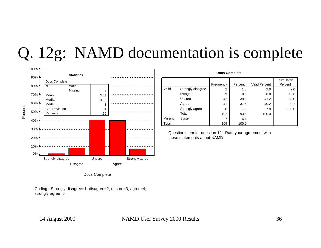## Q. 12g: NAMD documentation is complete



| <b>Docs Complete</b> |                   |                |         |                      |            |
|----------------------|-------------------|----------------|---------|----------------------|------------|
|                      |                   |                |         |                      | Cumulative |
|                      |                   | Frequency      | Percent | <b>Valid Percent</b> | Percent    |
| Valid                | Strongly disagree | $\overline{2}$ | 1.8     | 2.0                  | 2.0        |
|                      | <b>Disagree</b>   | 9              | 8.3     | 8.8                  | 10.8       |
|                      | Unsure            | 42             | 38.5    | 41.2                 | 52.0       |
|                      | Agree             | 41             | 37.6    | 40.2                 | 92.2       |
|                      | Strongly agree    | 8              | 7.3     | 7.8                  | 100.0      |
|                      | Total             | 102            | 93.6    | 100.0                |            |
| Missing              | System            | 7              | 6.4     |                      |            |
| Total                |                   | 109            | 100.0   |                      |            |

Question stem for question 12: Rate your agreement with these statements about NAMD

Docs Complete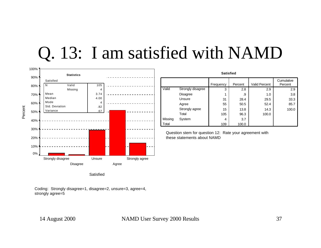## Q. 13: I am satisfied with NAMD



| <b>Satisfied</b> |                   |           |         |                      |                       |
|------------------|-------------------|-----------|---------|----------------------|-----------------------|
|                  |                   | Frequency | Percent | <b>Valid Percent</b> | Cumulative<br>Percent |
| Valid            | Strongly disagree | 3         | 2.8     | 2.9                  | 2.9                   |
|                  | Disagree          | 1         | .9      | 1.0                  | 3.8                   |
|                  | Unsure            | 31        | 28.4    | 29.5                 | 33.3                  |
|                  | Agree             | 55        | 50.5    | 52.4                 | 85.7                  |
|                  | Strongly agree    | 15        | 13.8    | 14.3                 | 100.0                 |
|                  | Total             | 105       | 96.3    | 100.0                |                       |
| Missing          | System            | 4         | 3.7     |                      |                       |
| Total            |                   | 109       | 100.0   |                      |                       |

Question stem for question 12: Rate your agreement with these statements about NAMD

**Satisfied**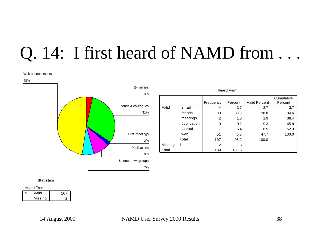## Q. 14: I first heard of NAMD from . . .

#### Web announcments

48%



| <b>Heard From</b> |             |                |         |                      |                       |  |
|-------------------|-------------|----------------|---------|----------------------|-----------------------|--|
|                   |             | Frequency      | Percent | <b>Valid Percent</b> | Cumulative<br>Percent |  |
| Valid             | email       | 4              | 3.7     | 3.7                  | 3.7                   |  |
|                   | friends     | 33             | 30.3    | 30.8                 | 34.6                  |  |
|                   | meetings    | $\overline{2}$ | 1.8     | 1.9                  | 36.4                  |  |
|                   | publication | 10             | 9.2     | 9.3                  | 45.8                  |  |
|                   | usenet      | 7              | 6.4     | 6.5                  | 52.3                  |  |
|                   | web         | 51             | 46.8    | 47.7                 | 100.0                 |  |
|                   | Total       | 107            | 98.2    | 100.0                |                       |  |
| Missing           | 1           | $\overline{2}$ | 1.8     |                      |                       |  |
| Total             |             | 109            | 100.0   |                      |                       |  |

#### **Statistics**

| <b>Heard From</b> |         |     |  |
|-------------------|---------|-----|--|
| N                 | Valid   | 107 |  |
|                   | Missing |     |  |

2